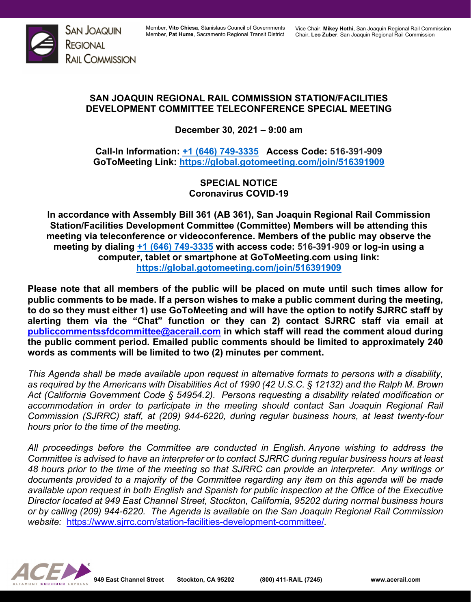

## **SAN JOAQUIN REGIONAL RAIL COMMISSION STATION/FACILITIES DEVELOPMENT COMMITTEE TELECONFERENCE SPECIAL MEETING**

**December 30, 2021 – 9:00 am**

**Call-In Information: [+1 \(646\) 749-3335](tel:+16467493335,,810666973) Access Code: 516-391-909 GoToMeeting Link:<https://global.gotomeeting.com/join/516391909>**

> **SPECIAL NOTICE Coronavirus COVID-19**

**In accordance with Assembly Bill 361 (AB 361), San Joaquin Regional Rail Commission Station/Facilities Development Committee (Committee) Members will be attending this meeting via teleconference or videoconference. Members of the public may observe the meeting by dialing [+1 \(646\) 749-3335](tel:+16467493335,,810666973) with access code: 516-391-909 or log-in using a computer, tablet or smartphone at GoToMeeting.com using link: <https://global.gotomeeting.com/join/516391909>**

**Please note that all members of the public will be placed on mute until such times allow for public comments to be made. If a person wishes to make a public comment during the meeting, to do so they must either 1) use GoToMeeting and will have the option to notify SJRRC staff by alerting them via the "Chat" function or they can 2) contact SJRRC staff via email at [publiccommentssfdcommittee@acerail.com](mailto:publiccommentssfdcommittee@acerail.com) in which staff will read the comment aloud during the public comment period. Emailed public comments should be limited to approximately 240 words as comments will be limited to two (2) minutes per comment.**

*This Agenda shall be made available upon request in alternative formats to persons with a disability, as required by the Americans with Disabilities Act of 1990 (42 U.S.C. § 12132) and the Ralph M. Brown Act (California Government Code § 54954.2). Persons requesting a disability related modification or accommodation in order to participate in the meeting should contact San Joaquin Regional Rail Commission (SJRRC) staff, at (209) 944-6220, during regular business hours, at least twenty-four hours prior to the time of the meeting.*

*All proceedings before the Committee are conducted in English. Anyone wishing to address the Committee is advised to have an interpreter or to contact SJRRC during regular business hours at least 48 hours prior to the time of the meeting so that SJRRC can provide an interpreter. Any writings or documents provided to a majority of the Committee regarding any item on this agenda will be made available upon request in both English and Spanish for public inspection at the Office of the Executive Director located at 949 East Channel Street, Stockton, California, 95202 during normal business hours or by calling (209) 944-6220. The Agenda is available on the San Joaquin Regional Rail Commission website:* <https://www.sjrrc.com/station-facilities-development-committee/>*.*

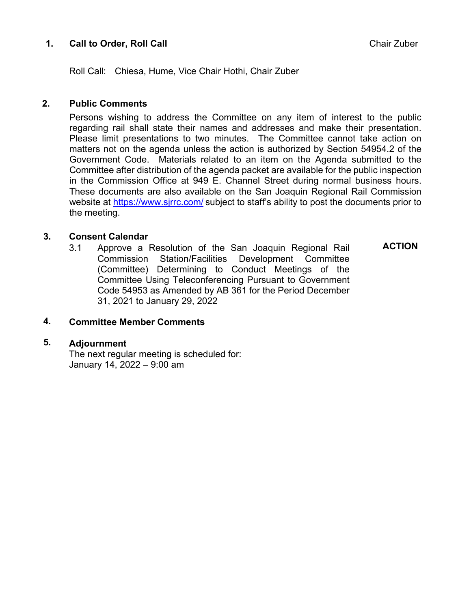## **1. Call to Order, Roll Call** Call **Chair Zuber** Chair Zuber

Roll Call: Chiesa, Hume, Vice Chair Hothi, Chair Zuber

#### **2. Public Comments**

Persons wishing to address the Committee on any item of interest to the public regarding rail shall state their names and addresses and make their presentation. Please limit presentations to two minutes. The Committee cannot take action on matters not on the agenda unless the action is authorized by Section 54954.2 of the Government Code. Materials related to an item on the Agenda submitted to the Committee after distribution of the agenda packet are available for the public inspection in the Commission Office at 949 E. Channel Street during normal business hours. These documents are also available on the San Joaquin Regional Rail Commission website at<https://www.sjrrc.com/> subject to staff's ability to post the documents prior to the meeting.

#### **3. Consent Calendar**

3.1 Approve a Resolution of the San Joaquin Regional Rail Commission Station/Facilities Development Committee (Committee) Determining to Conduct Meetings of the Committee Using Teleconferencing Pursuant to Government Code 54953 as Amended by AB 361 for the Period December 31, 2021 to January 29, 2022

**ACTION**

#### **4. Committee Member Comments**

#### **5. Adjournment**

The next regular meeting is scheduled for: January 14, 2022 – 9:00 am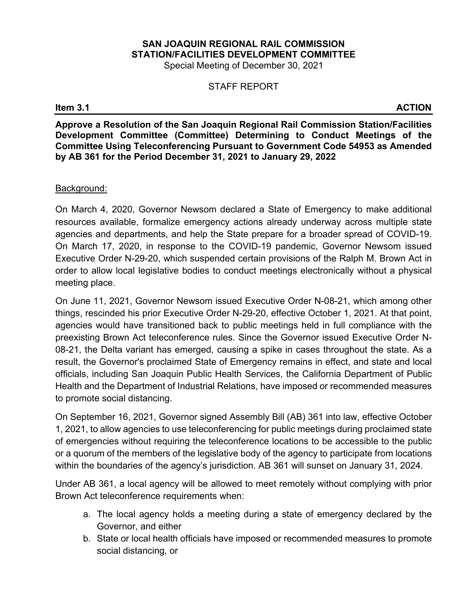# **SAN JOAQUIN REGIONAL RAIL COMMISSION STATION/FACILITIES DEVELOPMENT COMMITTEE**

Special Meeting of December 30, 2021

### STAFF REPORT

**Item 3.1 ACTION**

**Approve a Resolution of the San Joaquin Regional Rail Commission Station/Facilities Development Committee (Committee) Determining to Conduct Meetings of the Committee Using Teleconferencing Pursuant to Government Code 54953 as Amended by AB 361 for the Period December 31, 2021 to January 29, 2022**

#### Background:

On March 4, 2020, Governor Newsom declared a State of Emergency to make additional resources available, formalize emergency actions already underway across multiple state agencies and departments, and help the State prepare for a broader spread of COVID-19. On March 17, 2020, in response to the COVID-19 pandemic, Governor Newsom issued Executive Order N-29-20, which suspended certain provisions of the Ralph M. Brown Act in order to allow local legislative bodies to conduct meetings electronically without a physical meeting place.

On June 11, 2021, Governor Newsom issued Executive Order N-08-21, which among other things, rescinded his prior Executive Order N-29-20, effective October 1, 2021. At that point, agencies would have transitioned back to public meetings held in full compliance with the preexisting Brown Act teleconference rules. Since the Governor issued Executive Order N-08-21, the Delta variant has emerged, causing a spike in cases throughout the state. As a result, the Governor's proclaimed State of Emergency remains in effect, and state and local officials, including San Joaquin Public Health Services, the California Department of Public Health and the Department of Industrial Relations, have imposed or recommended measures to promote social distancing.

On September 16, 2021, Governor signed Assembly Bill (AB) 361 into law, effective October 1, 2021, to allow agencies to use teleconferencing for public meetings during proclaimed state of emergencies without requiring the teleconference locations to be accessible to the public or a quorum of the members of the legislative body of the agency to participate from locations within the boundaries of the agency's jurisdiction. AB 361 will sunset on January 31, 2024.

Under AB 361, a local agency will be allowed to meet remotely without complying with prior Brown Act teleconference requirements when:

- a. The local agency holds a meeting during a state of emergency declared by the Governor, and either
- b. State or local health officials have imposed or recommended measures to promote social distancing, or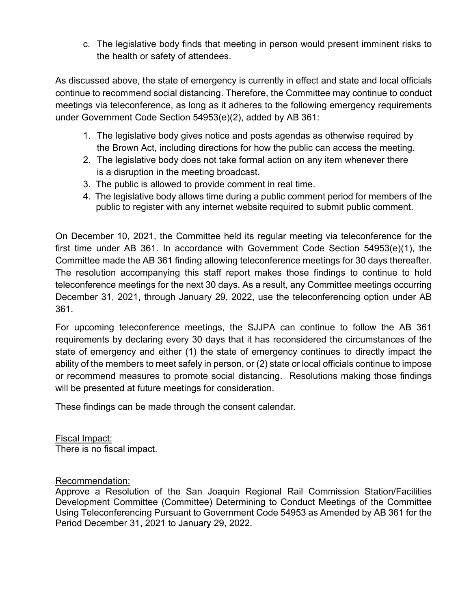c. The legislative body finds that meeting in person would present imminent risks to the health or safety of attendees.

As discussed above, the state of emergency is currently in effect and state and local officials continue to recommend social distancing. Therefore, the Committee may continue to conduct meetings via teleconference, as long as it adheres to the following emergency requirements under Government Code Section 54953(e)(2), added by AB 361:

- 1. The legislative body gives notice and posts agendas as otherwise required by the Brown Act, including directions for how the public can access the meeting.
- 2. The legislative body does not take formal action on any item whenever there is a disruption in the meeting broadcast.
- 3. The public is allowed to provide comment in real time.
- 4. The legislative body allows time during a public comment period for members of the public to register with any internet website required to submit public comment.

On December 10, 2021, the Committee held its regular meeting via teleconference for the first time under AB 361. In accordance with Government Code Section 54953(e)(1), the Committee made the AB 361 finding allowing teleconference meetings for 30 days thereafter. The resolution accompanying this staff report makes those findings to continue to hold teleconference meetings for the next 30 days. As a result, any Committee meetings occurring December 31, 2021, through January 29, 2022, use the teleconferencing option under AB 361.

For upcoming teleconference meetings, the SJJPA can continue to follow the AB 361 requirements by declaring every 30 days that it has reconsidered the circumstances of the state of emergency and either (1) the state of emergency continues to directly impact the ability of the members to meet safely in person, or (2) state or local officials continue to impose or recommend measures to promote social distancing. Resolutions making those findings will be presented at future meetings for consideration.

These findings can be made through the consent calendar.

Fiscal Impact: There is no fiscal impact.

## Recommendation:

Approve a Resolution of the San Joaquin Regional Rail Commission Station/Facilities Development Committee (Committee) Determining to Conduct Meetings of the Committee Using Teleconferencing Pursuant to Government Code 54953 as Amended by AB 361 for the Period December 31, 2021 to January 29, 2022.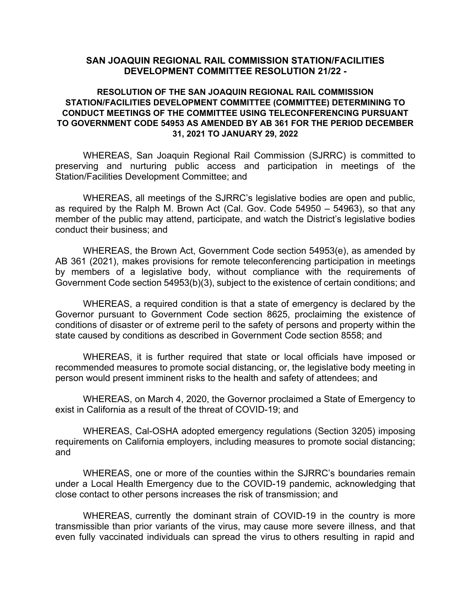#### **SAN JOAQUIN REGIONAL RAIL COMMISSION STATION/FACILITIES DEVELOPMENT COMMITTEE RESOLUTION 21/22 -**

#### **RESOLUTION OF THE SAN JOAQUIN REGIONAL RAIL COMMISSION STATION/FACILITIES DEVELOPMENT COMMITTEE (COMMITTEE) DETERMINING TO CONDUCT MEETINGS OF THE COMMITTEE USING TELECONFERENCING PURSUANT TO GOVERNMENT CODE 54953 AS AMENDED BY AB 361 FOR THE PERIOD DECEMBER 31, 2021 TO JANUARY 29, 2022**

WHEREAS, San Joaquin Regional Rail Commission (SJRRC) is committed to preserving and nurturing public access and participation in meetings of the Station/Facilities Development Committee; and

WHEREAS, all meetings of the SJRRC's legislative bodies are open and public, as required by the Ralph M. Brown Act (Cal. Gov. Code 54950 – 54963), so that any member of the public may attend, participate, and watch the District's legislative bodies conduct their business; and

WHEREAS, the Brown Act, Government Code section 54953(e), as amended by AB 361 (2021), makes provisions for remote teleconferencing participation in meetings by members of a legislative body, without compliance with the requirements of Government Code section 54953(b)(3), subject to the existence of certain conditions; and

WHEREAS, a required condition is that a state of emergency is declared by the Governor pursuant to Government Code section 8625, proclaiming the existence of conditions of disaster or of extreme peril to the safety of persons and property within the state caused by conditions as described in Government Code section 8558; and

WHEREAS, it is further required that state or local officials have imposed or recommended measures to promote social distancing, or, the legislative body meeting in person would present imminent risks to the health and safety of attendees; and

WHEREAS, on March 4, 2020, the Governor proclaimed a State of Emergency to exist in California as a result of the threat of COVID-19; and

WHEREAS, Cal-OSHA adopted emergency regulations (Section 3205) imposing requirements on California employers, including measures to promote social distancing; and

WHEREAS, one or more of the counties within the SJRRC's boundaries remain under a Local Health Emergency due to the COVID-19 pandemic, acknowledging that close contact to other persons increases the risk of transmission; and

WHEREAS, currently the dominant strain of COVID-19 in the country is more transmissible than prior variants of the virus, may cause more severe illness, and that even fully vaccinated individuals can spread the virus to others resulting in rapid and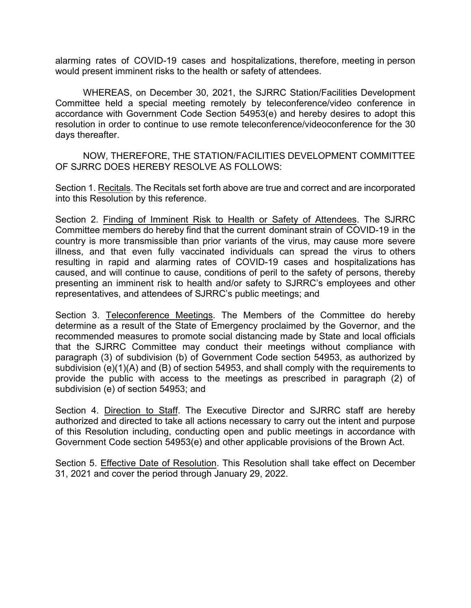alarming rates of COVID-19 cases and hospitalizations, therefore, meeting in person would present imminent risks to the health or safety of attendees.

WHEREAS, on December 30, 2021, the SJRRC Station/Facilities Development Committee held a special meeting remotely by teleconference/video conference in accordance with Government Code Section 54953(e) and hereby desires to adopt this resolution in order to continue to use remote teleconference/videoconference for the 30 days thereafter.

NOW, THEREFORE, THE STATION/FACILITIES DEVELOPMENT COMMITTEE OF SJRRC DOES HEREBY RESOLVE AS FOLLOWS:

Section 1. Recitals. The Recitals set forth above are true and correct and are incorporated into this Resolution by this reference.

Section 2. Finding of Imminent Risk to Health or Safety of Attendees. The SJRRC Committee members do hereby find that the current dominant strain of COVID-19 in the country is more transmissible than prior variants of the virus, may cause more severe illness, and that even fully vaccinated individuals can spread the virus to others resulting in rapid and alarming rates of COVID-19 cases and hospitalizations has caused, and will continue to cause, conditions of peril to the safety of persons, thereby presenting an imminent risk to health and/or safety to SJRRC's employees and other representatives, and attendees of SJRRC's public meetings; and

Section 3. Teleconference Meetings. The Members of the Committee do hereby determine as a result of the State of Emergency proclaimed by the Governor, and the recommended measures to promote social distancing made by State and local officials that the SJRRC Committee may conduct their meetings without compliance with paragraph (3) of subdivision (b) of Government Code section 54953, as authorized by subdivision (e)(1)(A) and (B) of section 54953, and shall comply with the requirements to provide the public with access to the meetings as prescribed in paragraph (2) of subdivision (e) of section 54953; and

Section 4. Direction to Staff. The Executive Director and SJRRC staff are hereby authorized and directed to take all actions necessary to carry out the intent and purpose of this Resolution including, conducting open and public meetings in accordance with Government Code section 54953(e) and other applicable provisions of the Brown Act.

Section 5. Effective Date of Resolution. This Resolution shall take effect on December 31, 2021 and cover the period through January 29, 2022.